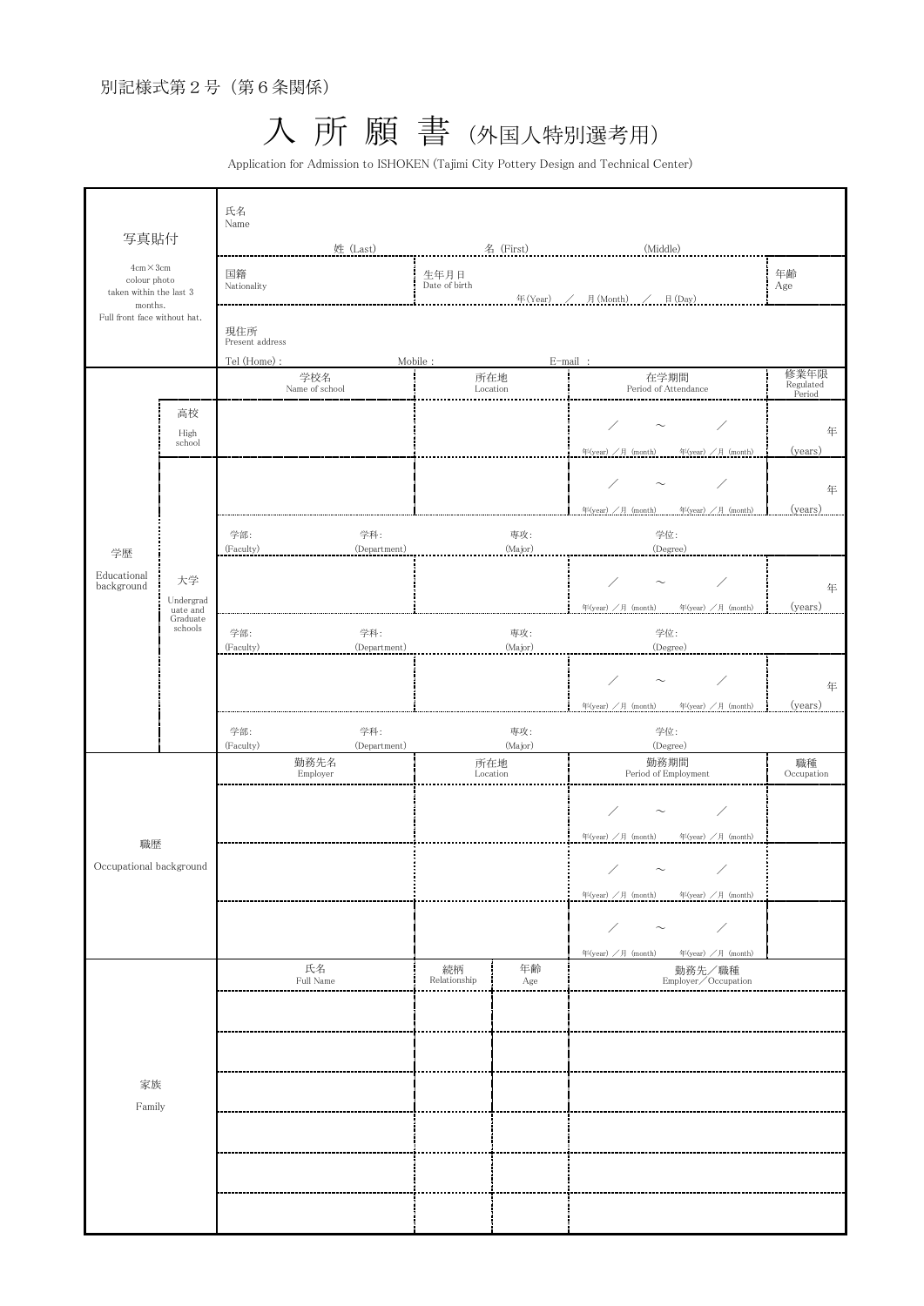入 所 願 書 (外国人特別選考用)

Application for Admission to ISHOKEN (Tajimi City Pottery Design and Technical Center)

| 写真貼付<br>$4cm \times 3cm$<br>colour photo<br>taken within the last 3<br>months.<br>Full front face without hat. |                                                    | 氏名<br>Name                                            |                     |                       |                 |                                                             |                             |  |  |
|----------------------------------------------------------------------------------------------------------------|----------------------------------------------------|-------------------------------------------------------|---------------------|-----------------------|-----------------|-------------------------------------------------------------|-----------------------------|--|--|
|                                                                                                                |                                                    | 姓 (Last)                                              |                     | 名 (First)             |                 | (Middle)                                                    |                             |  |  |
|                                                                                                                |                                                    | 国籍<br>Nationality                                     |                     | 生年月日<br>Date of birth |                 |                                                             | 年齢<br>Age                   |  |  |
|                                                                                                                |                                                    | 年(Year) / 月(Month) / 日(Day)<br>現住所<br>Present address |                     |                       |                 |                                                             |                             |  |  |
|                                                                                                                |                                                    | Tel (Home) :<br>Mobile:                               |                     |                       |                 | E-mail:                                                     |                             |  |  |
|                                                                                                                |                                                    | 学校名<br>Name of school                                 |                     | 所在地<br>Location       |                 | 在学期間<br>Period of Attendance                                | 修業年限<br>Regulated<br>Period |  |  |
| 学歴<br>Educational<br>background                                                                                | 高校<br>High<br>school                               |                                                       |                     |                       |                 | 年(year) /月 (month)<br>年(year) /月 (month)                    | 年<br>(years)                |  |  |
|                                                                                                                | 大学<br>Undergrad<br>uate and<br>Graduate<br>schools |                                                       |                     |                       |                 | ∕                                                           | 年                           |  |  |
|                                                                                                                |                                                    | 学部:<br>(Faculty)                                      | 学科:<br>(Department) |                       | 専攻:<br>(Major)  | 年(year) /月 (month)<br>年(year) /月 (month)<br>学位:<br>(Degree) | (years)                     |  |  |
|                                                                                                                |                                                    |                                                       |                     |                       |                 |                                                             | 年                           |  |  |
|                                                                                                                |                                                    | 学部:<br>(Faculty)                                      | 学科:<br>(Department) |                       | 専攻:<br>(Major)  | 年(year) /月 (month)<br>年(year) /月 (month)<br>学位:<br>(Degree) | (years)                     |  |  |
|                                                                                                                |                                                    |                                                       |                     |                       |                 | $\sim$<br>年(year) /月 (month)<br>年(year) /月 (month)          | 年<br>(years)                |  |  |
|                                                                                                                |                                                    | 学部:<br>(Faculty)                                      | 学科:<br>(Department) |                       | 専攻:<br>(Major)  | 学位:<br>(Degree)                                             |                             |  |  |
| 職歴<br>Occupational background<br>家族<br>Family                                                                  |                                                    | 勤務先名<br>Employer                                      |                     |                       | 所在地<br>Location | 勤務期間<br>Period of Employment                                | 職種<br>Occupation            |  |  |
|                                                                                                                |                                                    |                                                       |                     |                       |                 | Γ<br>年(year) /月 (month)<br>年(year) /月 (month)               |                             |  |  |
|                                                                                                                |                                                    |                                                       |                     |                       |                 | $\diagup$<br>$\sim$                                         |                             |  |  |
|                                                                                                                |                                                    |                                                       |                     |                       |                 | 年 $(year)$ /月 $(month)$<br>年(year) /月 (month)<br>∕<br>∕     |                             |  |  |
|                                                                                                                |                                                    | 氏名                                                    |                     | 続柄                    | 年齢              | 年(year) /月 (month)<br>年(year) /月 (month)<br>勤務先/職種          |                             |  |  |
|                                                                                                                |                                                    | Full Name                                             |                     | Relationship          | Age             | Employer/Occupation                                         |                             |  |  |
|                                                                                                                |                                                    |                                                       |                     |                       |                 |                                                             |                             |  |  |
|                                                                                                                |                                                    |                                                       |                     |                       |                 |                                                             |                             |  |  |
|                                                                                                                |                                                    |                                                       |                     |                       |                 |                                                             |                             |  |  |
|                                                                                                                |                                                    |                                                       |                     |                       |                 |                                                             |                             |  |  |
|                                                                                                                |                                                    |                                                       |                     |                       |                 |                                                             |                             |  |  |